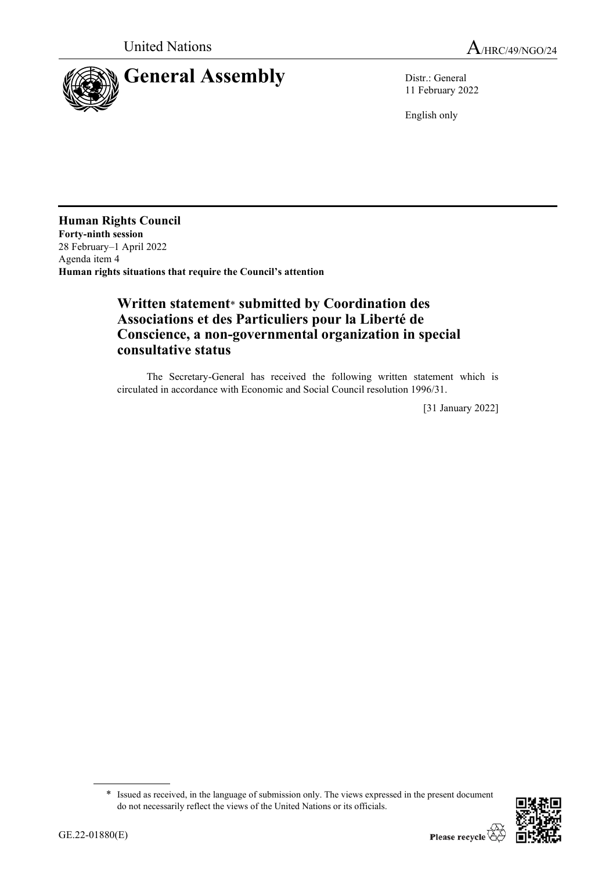

11 February 2022

English only

**Human Rights Council Forty-ninth session** 28 February–1 April 2022 Agenda item 4 **Human rights situations that require the Council's attention**

## **Written statement**\* **submitted by Coordination des Associations et des Particuliers pour la Liberté de Conscience, a non-governmental organization in special consultative status**

The Secretary-General has received the following written statement which is circulated in accordance with Economic and Social Council resolution 1996/31.

[31 January 2022]

<sup>\*</sup> Issued as received, in the language of submission only. The views expressed in the present document do not necessarily reflect the views of the United Nations or its officials.

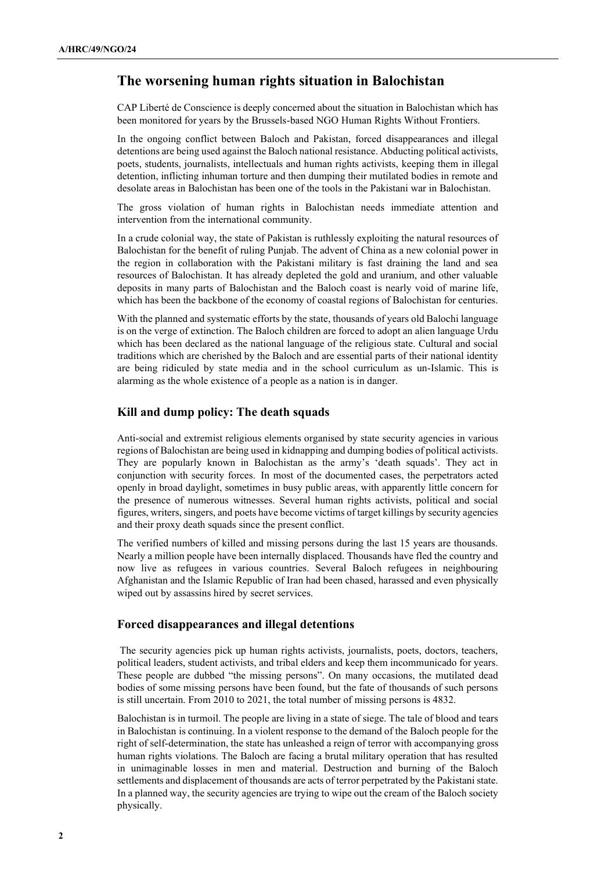## **The worsening human rights situation in Balochistan**

CAP Liberté de Conscience is deeply concerned about the situation in Balochistan which has been monitored for years by the Brussels-based NGO Human Rights Without Frontiers.

In the ongoing conflict between Baloch and Pakistan, forced disappearances and illegal detentions are being used against the Baloch national resistance. Abducting political activists, poets, students, journalists, intellectuals and human rights activists, keeping them in illegal detention, inflicting inhuman torture and then dumping their mutilated bodies in remote and desolate areas in Balochistan has been one of the tools in the Pakistani war in Balochistan.

The gross violation of human rights in Balochistan needs immediate attention and intervention from the international community.

In a crude colonial way, the state of Pakistan is ruthlessly exploiting the natural resources of Balochistan for the benefit of ruling Punjab. The advent of China as a new colonial power in the region in collaboration with the Pakistani military is fast draining the land and sea resources of Balochistan. It has already depleted the gold and uranium, and other valuable deposits in many parts of Balochistan and the Baloch coast is nearly void of marine life, which has been the backbone of the economy of coastal regions of Balochistan for centuries.

With the planned and systematic efforts by the state, thousands of years old Balochi language is on the verge of extinction. The Baloch children are forced to adopt an alien language Urdu which has been declared as the national language of the religious state. Cultural and social traditions which are cherished by the Baloch and are essential parts of their national identity are being ridiculed by state media and in the school curriculum as un-Islamic. This is alarming as the whole existence of a people as a nation is in danger.

## **Kill and dump policy: The death squads**

Anti-social and extremist religious elements organised by state security agencies in various regions of Balochistan are being used in kidnapping and dumping bodies of political activists. They are popularly known in Balochistan as the army's 'death squads'. They act in conjunction with security forces. In most of the documented cases, the perpetrators acted openly in broad daylight, sometimes in busy public areas, with apparently little concern for the presence of numerous witnesses. Several human rights activists, political and social figures, writers, singers, and poets have become victims of target killings by security agencies and their proxy death squads since the present conflict.

The verified numbers of killed and missing persons during the last 15 years are thousands. Nearly a million people have been internally displaced. Thousands have fled the country and now live as refugees in various countries. Several Baloch refugees in neighbouring Afghanistan and the Islamic Republic of Iran had been chased, harassed and even physically wiped out by assassins hired by secret services.

## **Forced disappearances and illegal detentions**

The security agencies pick up human rights activists, journalists, poets, doctors, teachers, political leaders, student activists, and tribal elders and keep them incommunicado for years. These people are dubbed "the missing persons". On many occasions, the mutilated dead bodies of some missing persons have been found, but the fate of thousands of such persons is still uncertain. From 2010 to 2021, the total number of missing persons is 4832.

Balochistan is in turmoil. The people are living in a state of siege. The tale of blood and tears in Balochistan is continuing. In a violent response to the demand of the Baloch people for the right of self-determination, the state has unleashed a reign of terror with accompanying gross human rights violations. The Baloch are facing a brutal military operation that has resulted in unimaginable losses in men and material. Destruction and burning of the Baloch settlements and displacement of thousands are acts of terror perpetrated by the Pakistani state. In a planned way, the security agencies are trying to wipe out the cream of the Baloch society physically.